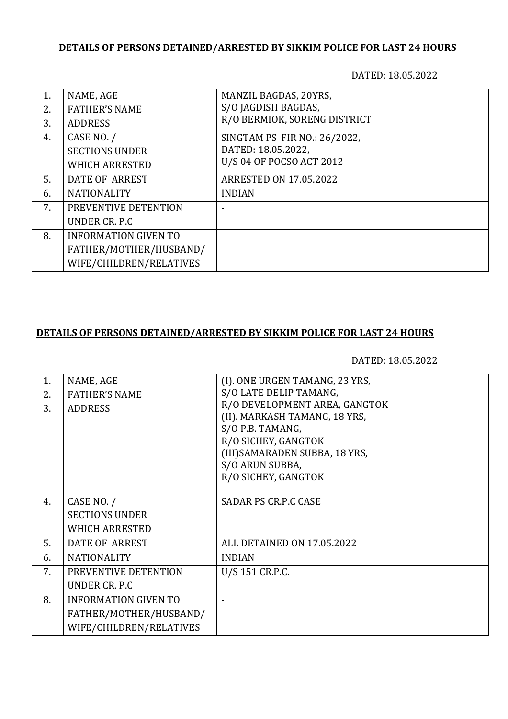# **DETAILS OF PERSONS DETAINED/ARRESTED BY SIKKIM POLICE FOR LAST 24 HOURS**

DATED: 18.05.2022

| 1. | NAME, AGE                   | MANZIL BAGDAS, 20YRS,         |
|----|-----------------------------|-------------------------------|
| 2. | <b>FATHER'S NAME</b>        | S/O JAGDISH BAGDAS,           |
| 3. | <b>ADDRESS</b>              | R/O BERMIOK, SORENG DISTRICT  |
| 4. | CASE NO. /                  | SINGTAM PS FIR NO.: 26/2022,  |
|    | <b>SECTIONS UNDER</b>       | DATED: 18.05.2022,            |
|    | <b>WHICH ARRESTED</b>       | U/S 04 OF POCSO ACT 2012      |
| 5. | DATE OF ARREST              | <b>ARRESTED ON 17.05.2022</b> |
| 6. | <b>NATIONALITY</b>          | <b>INDIAN</b>                 |
| 7. | PREVENTIVE DETENTION        |                               |
|    | UNDER CR. P.C               |                               |
| 8. | <b>INFORMATION GIVEN TO</b> |                               |
|    | FATHER/MOTHER/HUSBAND/      |                               |
|    | WIFE/CHILDREN/RELATIVES     |                               |

### **DETAILS OF PERSONS DETAINED/ARRESTED BY SIKKIM POLICE FOR LAST 24 HOURS**

DATED: 18.05.2022

| 1. | NAME, AGE                   | (I). ONE URGEN TAMANG, 23 YRS, |
|----|-----------------------------|--------------------------------|
| 2. | <b>FATHER'S NAME</b>        | S/O LATE DELIP TAMANG,         |
| 3. | <b>ADDRESS</b>              | R/O DEVELOPMENT AREA, GANGTOK  |
|    |                             | (II). MARKASH TAMANG, 18 YRS,  |
|    |                             | S/O P.B. TAMANG,               |
|    |                             | R/O SICHEY, GANGTOK            |
|    |                             | (III) SAMARADEN SUBBA, 18 YRS, |
|    |                             | S/O ARUN SUBBA,                |
|    |                             | R/O SICHEY, GANGTOK            |
|    |                             |                                |
| 4. | CASE NO. /                  | <b>SADAR PS CR.P.C CASE</b>    |
|    | <b>SECTIONS UNDER</b>       |                                |
|    | <b>WHICH ARRESTED</b>       |                                |
| 5. | DATE OF ARREST              | ALL DETAINED ON 17.05.2022     |
| 6. | <b>NATIONALITY</b>          | <b>INDIAN</b>                  |
| 7. | PREVENTIVE DETENTION        | U/S 151 CR.P.C.                |
|    | UNDER CR. P.C               |                                |
| 8. | <b>INFORMATION GIVEN TO</b> |                                |
|    | FATHER/MOTHER/HUSBAND/      |                                |
|    | WIFE/CHILDREN/RELATIVES     |                                |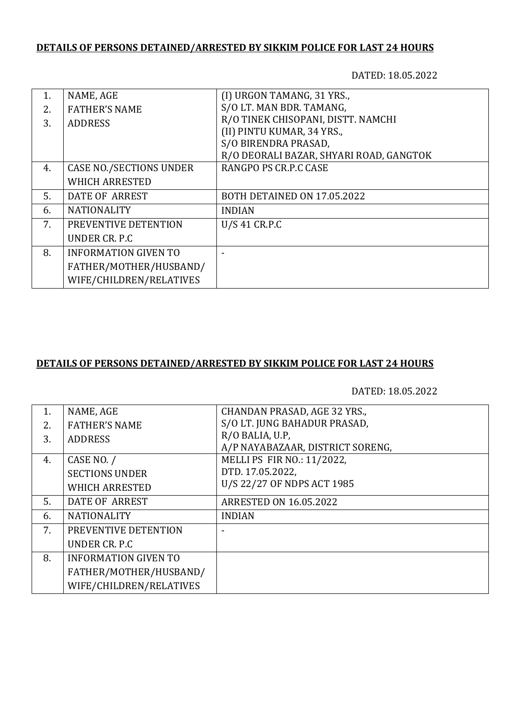# **DETAILS OF PERSONS DETAINED/ARRESTED BY SIKKIM POLICE FOR LAST 24 HOURS**

DATED: 18.05.2022

|    | NAME, AGE                      | (I) URGON TAMANG, 31 YRS.,              |
|----|--------------------------------|-----------------------------------------|
| 2. | <b>FATHER'S NAME</b>           | S/O LT. MAN BDR. TAMANG,                |
| 3. | <b>ADDRESS</b>                 | R/O TINEK CHISOPANI, DISTT. NAMCHI      |
|    |                                | (II) PINTU KUMAR, 34 YRS.,              |
|    |                                | S/O BIRENDRA PRASAD,                    |
|    |                                | R/O DEORALI BAZAR, SHYARI ROAD, GANGTOK |
| 4. | <b>CASE NO./SECTIONS UNDER</b> | RANGPO PS CR.P.C CASE                   |
|    | <b>WHICH ARRESTED</b>          |                                         |
| 5. | DATE OF ARREST                 | BOTH DETAINED ON 17.05.2022             |
| 6. | <b>NATIONALITY</b>             | <b>INDIAN</b>                           |
| 7. | PREVENTIVE DETENTION           | U/S 41 CR.P.C                           |
|    | UNDER CR. P.C.                 |                                         |
| 8. | <b>INFORMATION GIVEN TO</b>    |                                         |
|    | FATHER/MOTHER/HUSBAND/         |                                         |
|    | WIFE/CHILDREN/RELATIVES        |                                         |

#### **DETAILS OF PERSONS DETAINED/ARRESTED BY SIKKIM POLICE FOR LAST 24 HOURS**

DATED: 18.05.2022

| 1. | NAME, AGE                   | <b>CHANDAN PRASAD, AGE 32 YRS.,</b> |
|----|-----------------------------|-------------------------------------|
| 2. | <b>FATHER'S NAME</b>        | S/O LT. JUNG BAHADUR PRASAD,        |
| 3. | <b>ADDRESS</b>              | R/O BALIA, U.P.                     |
|    |                             | A/P NAYABAZAAR, DISTRICT SORENG,    |
| 4. | CASE NO. /                  | MELLI PS FIR NO.: 11/2022,          |
|    | <b>SECTIONS UNDER</b>       | DTD. 17.05.2022,                    |
|    | <b>WHICH ARRESTED</b>       | U/S 22/27 OF NDPS ACT 1985          |
| 5. | DATE OF ARREST              | <b>ARRESTED ON 16.05.2022</b>       |
| 6. | <b>NATIONALITY</b>          | <b>INDIAN</b>                       |
| 7. | PREVENTIVE DETENTION        |                                     |
|    | UNDER CR. P.C.              |                                     |
| 8. | <b>INFORMATION GIVEN TO</b> |                                     |
|    | FATHER/MOTHER/HUSBAND/      |                                     |
|    | WIFE/CHILDREN/RELATIVES     |                                     |
|    |                             |                                     |